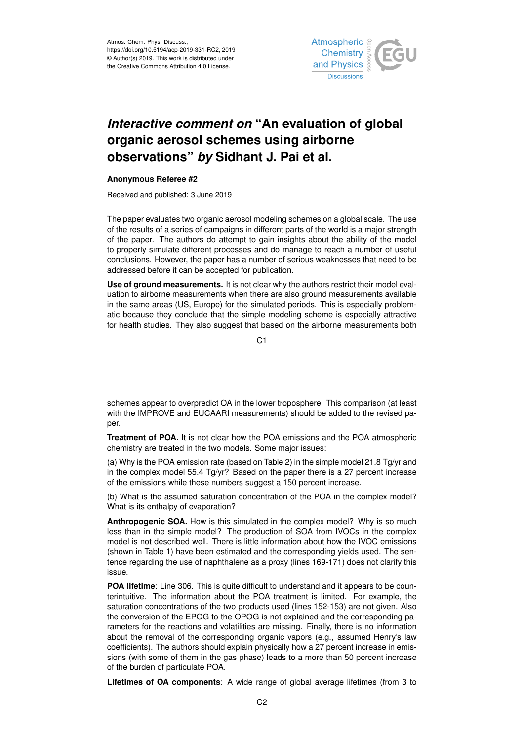

## *Interactive comment on* **"An evaluation of global organic aerosol schemes using airborne observations"** *by* **Sidhant J. Pai et al.**

## **Anonymous Referee #2**

Received and published: 3 June 2019

The paper evaluates two organic aerosol modeling schemes on a global scale. The use of the results of a series of campaigns in different parts of the world is a major strength of the paper. The authors do attempt to gain insights about the ability of the model to properly simulate different processes and do manage to reach a number of useful conclusions. However, the paper has a number of serious weaknesses that need to be addressed before it can be accepted for publication.

**Use of ground measurements.** It is not clear why the authors restrict their model evaluation to airborne measurements when there are also ground measurements available in the same areas (US, Europe) for the simulated periods. This is especially problematic because they conclude that the simple modeling scheme is especially attractive for health studies. They also suggest that based on the airborne measurements both

 $C<sub>1</sub>$ 

schemes appear to overpredict OA in the lower troposphere. This comparison (at least with the IMPROVE and EUCAARI measurements) should be added to the revised paper.

**Treatment of POA.** It is not clear how the POA emissions and the POA atmospheric chemistry are treated in the two models. Some major issues:

(a) Why is the POA emission rate (based on Table 2) in the simple model 21.8  $Tg/yr$  and in the complex model 55.4 Tg/yr? Based on the paper there is a 27 percent increase of the emissions while these numbers suggest a 150 percent increase.

(b) What is the assumed saturation concentration of the POA in the complex model? What is its enthalpy of evaporation?

**Anthropogenic SOA.** How is this simulated in the complex model? Why is so much less than in the simple model? The production of SOA from IVOCs in the complex model is not described well. There is little information about how the IVOC emissions (shown in Table 1) have been estimated and the corresponding yields used. The sentence regarding the use of naphthalene as a proxy (lines 169-171) does not clarify this issue.

**POA lifetime**: Line 306. This is quite difficult to understand and it appears to be counterintuitive. The information about the POA treatment is limited. For example, the saturation concentrations of the two products used (lines 152-153) are not given. Also the conversion of the EPOG to the OPOG is not explained and the corresponding parameters for the reactions and volatilities are missing. Finally, there is no information about the removal of the corresponding organic vapors (e.g., assumed Henry's law coefficients). The authors should explain physically how a 27 percent increase in emissions (with some of them in the gas phase) leads to a more than 50 percent increase of the burden of particulate POA.

**Lifetimes of OA components**: A wide range of global average lifetimes (from 3 to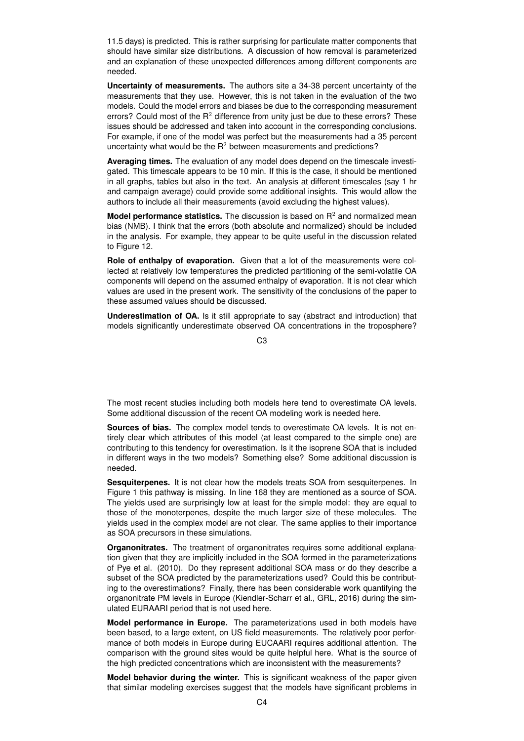11.5 days) is predicted. This is rather surprising for particulate matter components that should have similar size distributions. A discussion of how removal is parameterized and an explanation of these unexpected differences among different components are needed.

**Uncertainty of measurements.** The authors site a 34-38 percent uncertainty of the measurements that they use. However, this is not taken in the evaluation of the two models. Could the model errors and biases be due to the corresponding measurement errors? Could most of the  $R^2$  difference from unity just be due to these errors? These issues should be addressed and taken into account in the corresponding conclusions. For example, if one of the model was perfect but the measurements had a 35 percent uncertainty what would be the  $R^2$  between measurements and predictions?

**Averaging times.** The evaluation of any model does depend on the timescale investigated. This timescale appears to be 10 min. If this is the case, it should be mentioned in all graphs, tables but also in the text. An analysis at different timescales (say 1 hr and campaign average) could provide some additional insights. This would allow the authors to include all their measurements (avoid excluding the highest values).

**Model performance statistics.** The discussion is based on R<sup>2</sup> and normalized mean bias (NMB). I think that the errors (both absolute and normalized) should be included in the analysis. For example, they appear to be quite useful in the discussion related to Figure 12.

**Role of enthalpy of evaporation.** Given that a lot of the measurements were collected at relatively low temperatures the predicted partitioning of the semi-volatile OA components will depend on the assumed enthalpy of evaporation. It is not clear which values are used in the present work. The sensitivity of the conclusions of the paper to these assumed values should be discussed.

**Underestimation of OA.** Is it still appropriate to say (abstract and introduction) that models significantly underestimate observed OA concentrations in the troposphere?

C3

The most recent studies including both models here tend to overestimate OA levels. Some additional discussion of the recent OA modeling work is needed here.

**Sources of bias.** The complex model tends to overestimate OA levels. It is not entirely clear which attributes of this model (at least compared to the simple one) are contributing to this tendency for overestimation. Is it the isoprene SOA that is included in different ways in the two models? Something else? Some additional discussion is needed.

**Sesquiterpenes.** It is not clear how the models treats SOA from sesquiterpenes. In Figure 1 this pathway is missing. In line 168 they are mentioned as a source of SOA. The yields used are surprisingly low at least for the simple model: they are equal to those of the monoterpenes, despite the much larger size of these molecules. The yields used in the complex model are not clear. The same applies to their importance as SOA precursors in these simulations.

**Organonitrates.** The treatment of organonitrates requires some additional explanation given that they are implicitly included in the SOA formed in the parameterizations of Pye et al. (2010). Do they represent additional SOA mass or do they describe a subset of the SOA predicted by the parameterizations used? Could this be contributing to the overestimations? Finally, there has been considerable work quantifying the organonitrate PM levels in Europe (Kiendler-Scharr et al., GRL, 2016) during the simulated EURAARI period that is not used here.

**Model performance in Europe.** The parameterizations used in both models have been based, to a large extent, on US field measurements. The relatively poor performance of both models in Europe during EUCAARI requires additional attention. The comparison with the ground sites would be quite helpful here. What is the source of the high predicted concentrations which are inconsistent with the measurements?

**Model behavior during the winter.** This is significant weakness of the paper given that similar modeling exercises suggest that the models have significant problems in